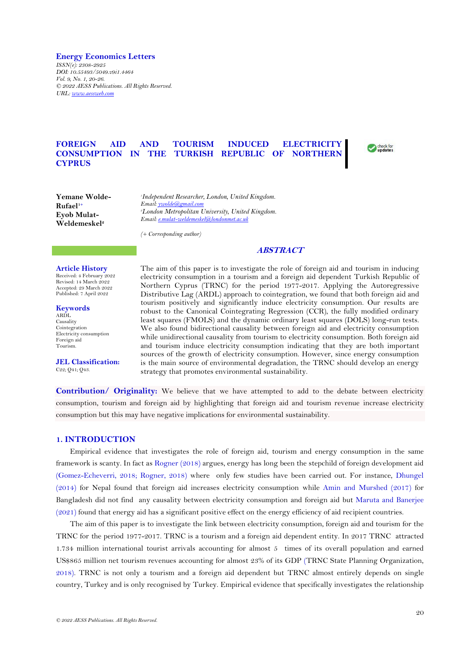**Energy Economics Letters**

*ISSN(e): 2308-2925 DOI: 10.55493/5049.v9i1.4464 Vol. 9, No. 1, 20-26. © 2022 AESS Publications. All Rights Reserved. URL: [www.aessweb.com](http://www.aessweb.com/)*

# **FOREIGN AID AND TOURISM INDUCED ELECTRICITY CONSUMPTION IN THE TURKISH REPUBLIC OF NORTHERN CYPRUS**



**Yemane Wolde-Rufael1+ Eyob Mulat-Weldemeskel<sup>2</sup>**

*1 Independent Researcher, London, United Kingdom. Email[: ywolde@gmail.com](mailto:ywolde@gmail.com) <sup>2</sup>London Metropolitan University, United Kingdom. Email[: e.mulat-weldemeskel@londonmet.ac.uk](mailto:e.mulat-weldemeskel@londonmet.ac.uk)*

*(+ Corresponding author)*

# **ABSTRACT**

## **Article History**

Received: 4 February 2022 Revised: 14 March 2022 Accepted: 29 March 2022 Published: 7 April 2022

**Keywords** ARDL Causality Cointegration Electricity consumption Foreign aid Tourism.

**JEL Classification:** C22; Q41; Q43.

The aim of this paper is to investigate the role of foreign aid and tourism in inducing electricity consumption in a tourism and a foreign aid dependent Turkish Republic of Northern Cyprus (TRNC) for the period 1977-2017. Applying the Autoregressive Distributive Lag (ARDL) approach to cointegration, we found that both foreign aid and tourism positively and significantly induce electricity consumption. Our results are robust to the Canonical Cointegrating Regression (CCR), the fully modified ordinary least squares (FMOLS) and the dynamic ordinary least squares (DOLS) long-run tests. We also found bidirectional causality between foreign aid and electricity consumption while unidirectional causality from tourism to electricity consumption. Both foreign aid and tourism induce electricity consumption indicating that they are both important sources of the growth of electricity consumption. However, since energy consumption is the main source of environmental degradation, the TRNC should develop an energy strategy that promotes environmental sustainability.

**Contribution/ Originality:** We believe that we have attempted to add to the debate between electricity consumption, tourism and foreign aid by highlighting that foreign aid and tourism revenue increase electricity consumption but this may have negative implications for environmental sustainability.

### **1. INTRODUCTION**

Empirical evidence that investigates the role of foreign aid, tourism and energy consumption in the same framework is scanty. In fact as [Rogner \(2018\)](#page-6-0) argues, energy has long been the stepchild of foreign development aid [\(Gomez-Echeverri, 2018;](#page-5-0) [Rogner, 2018\)](#page-6-0) where only few studies have been carried out. For instance, [Dhungel](#page-5-1)  [\(2014\)](#page-5-1) for Nepal found that foreign aid increases electricity consumption while [Amin and Murshed \(2017\)](#page-5-2) for Bangladesh did not find any causality between electricity consumption and foreign aid but [Maruta and Banerjee](#page-5-3)  [\(2021\)](#page-5-3) found that energy aid has a significant positive effect on the energy efficiency of aid recipient countries.

The aim of this paper is to investigate the link between electricity consumption, foreign aid and tourism for the TRNC for the period 1977-2017. TRNC is a tourism and a foreign aid dependent entity. In 2017 TRNC attracted 1.734 million international tourist arrivals accounting for almost 5 times of its overall population and earned US\$865 million net tourism revenues accounting for almost 23% of its GDP [\(TRNC State Planning Organization,](#page-6-1) [2018\)](#page-6-1). TRNC is not only a tourism and a foreign aid dependent but TRNC almost entirely depends on single country, Turkey and is only recognised by Turkey. Empirical evidence that specifically investigates the relationship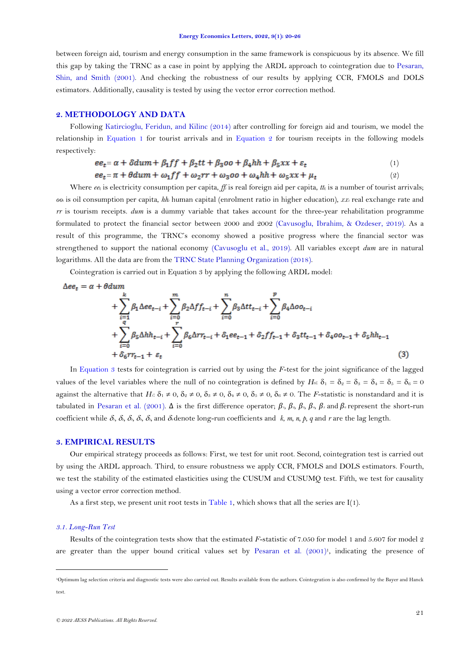between foreign aid, tourism and energy consumption in the same framework is conspicuous by its absence. We fill this gap by taking the TRNC as a case in point by applying the ARDL approach to cointegration due to [Pesaran,](#page-6-2) [Shin, and Smith \(2001\)](#page-6-2). And checking the robustness of our results by applying CCR, FMOLS and DOLS estimators. Additionally, causality is tested by using the vector error correction method.

# **2. METHODOLOGY AND DATA**

Following [Katircioglu, Feridun, and Kilinc \(2014\)](#page-5-4) after controlling for foreign aid and tourism, we model the relationship in [Equation](#page-1-0) 1 for tourist arrivals and in [Equation 2](#page-1-1) for tourism receipts in the following models respectively:

<span id="page-1-1"></span><span id="page-1-0"></span>
$$
ee_t = \alpha + \delta du m + \beta_1 ff + \beta_2 tt + \beta_3 oo + \beta_4 hh + \beta_5 xx + \varepsilon_t
$$
\n<sup>(1)</sup>

$$
ee_t = \pi + \theta \, \mathrm{d}u \, \mathrm{m} + \omega_1 \, \mathrm{f} \, \mathrm{f} + \omega_2 \, \mathrm{r} \, \mathrm{r} + \omega_3 \, \mathrm{d} \, \mathrm{o} + \omega_4 \, \mathrm{h} \, \mathrm{h} + \omega_5 \, \mathrm{d} \, \mathrm{x} + \mu_t \tag{2}
$$

Where  $ee_t$  is electricity consumption per capita,  $ff_t$  is real foreign aid per capita,  $t_t$  is a number of tourist arrivals; *oo<sup>t</sup>* is oil consumption per capita, *hh<sup>t</sup>* human capital (enrolment ratio in higher education), *xx<sup>t</sup>* real exchange rate and *rr* is tourism receipts. *dum* is a dummy variable that takes account for the three-year rehabilitation programme formulated to protect the financial sector between 2000 and 2002 [\(Cavusoglu, Ibrahim, & Ozdeser,](#page-5-5) 2019). As a result of this programme, the TRNC's economy showed a positive progress where the financial sector was strengthened to support the national economy [\(Cavusoglu et al., 2019\)](#page-5-5). All variables except *dum* are in natural logarithms. All the data are from the [TRNC State Planning Organization \(2018\)](#page-6-1).

Cointegration is carried out in Equation 3 by applying the following ARDL model:

$$
\Delta ee_t = \alpha + \theta \, \text{d} \, \text{d} \, \text{d} \, \text{d} \, \text{d} \, \text{d} \, \text{d} \, \text{d} \, \text{d} \, \text{d} \, \text{d} \, \text{d} \, \text{d} \, \text{d} \, \text{d} \, \text{d} \, \text{d} \, \text{d} \, \text{d} \, \text{d} \, \text{d} \, \text{d} \, \text{d} \, \text{d} \, \text{d} \, \text{d} \, \text{d} \, \text{d} \, \text{d} \, \text{d} \, \text{d} \, \text{d} \, \text{d} \, \text{d} \, \text{d} \, \text{d} \, \text{d} \, \text{d} \, \text{d} \, \text{d} \, \text{d} \, \text{d} \, \text{d} \, \text{d} \, \text{d} \, \text{d} \, \text{d} \, \text{d} \, \text{d} \, \text{d} \, \text{d} \, \text{d} \, \text{d} \, \text{d} \, \text{d} \, \text{d} \, \text{d} \, \text{d} \, \text{d} \, \text{d} \, \text{d} \, \text{d} \, \text{d} \, \text{d} \, \text{d} \, \text{d} \, \text{d} \, \text{d} \, \text{d} \, \text{d} \, \text{d} \, \text{d} \, \text{d} \, \text{d} \, \text{d} \, \text{d} \, \text{d} \, \text{d} \, \text{d} \, \text{d} \, \text{d} \, \text{d} \, \text{d} \, \text{d} \, \text{d} \, \text{d} \, \text{d} \, \text{d} \, \text{d} \, \text{d} \, \text{d} \, \text{d} \, \text{d} \, \text{d} \, \text{d} \, \text{d} \, \text{d} \, \text{d} \, \text{d} \, \text{d} \, \text{d} \, \text{d} \, \text{d} \, \text{d} \, \text{d} \, \text{d} \, \text{d} \
$$

<span id="page-1-2"></span>In [Equation 3](#page-1-2) tests for cointegration is carried out by using the *F*-test for the joint significance of the lagged values of the level variables where the null of no cointegration is defined by  $H_0$ :  $\delta_1 = \delta_2 = \delta_3 = \delta_4 = \delta_5 = \delta_6 = 0$ against the alternative that *Hi*:  $\delta_1 \neq 0$ ,  $\delta_2 \neq 0$ ,  $\delta_3 \neq 0$ ,  $\delta_4 \neq 0$ ,  $\delta_5 \neq 0$ ,  $\delta_6 \neq 0$ . The *F*-statistic is nonstandard and it is tabulated in [Pesaran et al. \(2001\)](#page-6-2).  $\Delta$  is the first difference operator;  $\beta_1$ ,  $\beta_2$ ,  $\beta_3$ ,  $\beta_4$ ,  $\beta_5$  and  $\beta_6$  represent the short-run coefficient while  $\delta_1$ ,  $\delta_2$ ,  $\delta_3$ ,  $\delta_4$ ,  $\delta_5$ , and  $\delta_6$  denote long-run coefficients and *k*, *m*, *n*, *p*, *q* and *r* are the lag length.

### **3. EMPIRICAL RESULTS**

Our empirical strategy proceeds as follows: First, we test for unit root. Second, cointegration test is carried out by using the ARDL approach. Third, to ensure robustness we apply CCR, FMOLS and DOLS estimators. Fourth, we test the stability of the estimated elasticities using the CUSUM and CUSUMQ test. Fifth, we test for causality using a vector error correction method.

As a first step, we present unit root tests in [Table 1,](#page-2-0) which shows that all the series are  $I(1)$ .

#### *3.1. Long-Run Test*

Results of the cointegration tests show that the estimated *F*-statistic of 7.050 for model 1 and 5.607 for model 2 are greater than the upper bound critical values set by [Pesaran et al. \(2001\)](#page-6-2) 1 , indicating the presence of

<sup>1</sup>Optimum lag selection criteria and diagnostic tests were also carried out. Results available from the authors. Cointegration is also confirmed by the Bayer and Hanck test.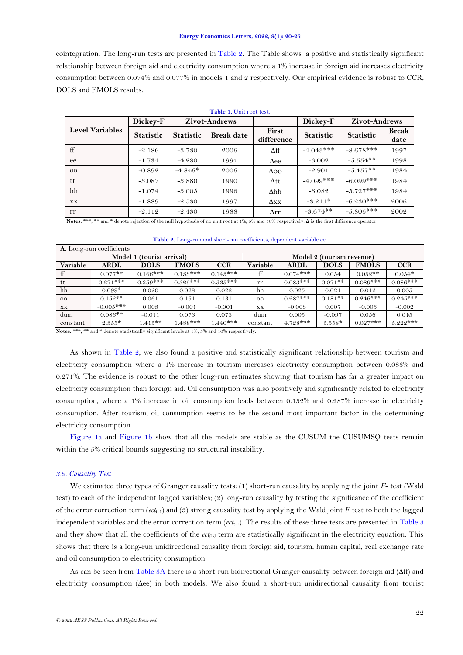#### **Energy Economics Letters, 2022, 9(1): 20-26**

cointegration. The long-run tests are presented in [Table 2.](#page-2-1) The Table shows a positive and statistically significant relationship between foreign aid and electricity consumption where a 1% increase in foreign aid increases electricity consumption between 0.074% and 0.077% in models 1 and 2 respectively. Our empirical evidence is robust to CCR, DOLS and FMOLS results.

<span id="page-2-0"></span>

| <b>Level Variables</b> | Dickey-F         |                  | <b>Zivot-Andrews</b> |                     | Dickey-F         | <b>Zivot-Andrews</b> |                      |
|------------------------|------------------|------------------|----------------------|---------------------|------------------|----------------------|----------------------|
|                        | <b>Statistic</b> | <b>Statistic</b> | <b>Break date</b>    | First<br>difference | <b>Statistic</b> | <b>Statistic</b>     | <b>Break</b><br>date |
| ff                     | $-2.186$         | $-3.730$         | 2006                 | $\Delta f f$        | $-4.043***$      | $-8.678***$          | 1997                 |
| ee                     | $-1.734$         | $-4.280$         | 1994                 | $\Delta$ ee         | $-3.002$         | $-5.554**$           | 1998                 |
| $_{\rm OO}$            | $-0.892$         | $-4.846*$        | 2006                 | $\Delta$ 00         | $-2.901$         | $-5.457**$           | 1984                 |
| tt                     | $-3.087$         | $-3.880$         | 1990                 | Att.                | $-4.099$ ***     | $-6.099$ ***         | 1984                 |
| hh                     | $-1.074$         | $-3.005$         | 1996                 | $\Delta hh$         | $-3.082$         | $-5.727***$          | 1984                 |
| XX                     | $-1.889$         | $-2.530$         | 1997                 | $\Delta$ xx         | $-3.211*$        | $-6.230***$          | 2006                 |
| rr                     | $-2.112$         | $-2.430$         | 1988                 | $\Delta$ rr         | $-3.674**$       | $-5.805***$          | 2002                 |

**Table 1.** Unit root test.

Notes: \*\*\*, <sup>\*\*</sup> and <sup>\*</sup> denote rejection of the null hypothesis of no unit root at 1%, 5% and 10% respectively. Δ is the first difference operator.

**Table 2.** Long-run and short-run coefficients, dependent variable ee.

<span id="page-2-1"></span>

| A. Long-run coefficients |             |                           |              |                           |             |             |             |              |            |  |  |
|--------------------------|-------------|---------------------------|--------------|---------------------------|-------------|-------------|-------------|--------------|------------|--|--|
|                          |             | Model 1 (tourist arrival) |              | Model 2 (tourism revenue) |             |             |             |              |            |  |  |
| Variable                 | <b>ARDL</b> | <b>DOLS</b>               | <b>FMOLS</b> | <b>CCR</b>                | Variable    | <b>ARDL</b> | <b>DOLS</b> | <b>FMOLS</b> | <b>CCR</b> |  |  |
| ff                       | $0.077**$   | $0.166$ ***               | $0.133***$   | $0.143***$                | ff          | $0.074***$  | 0.054       | $0.052**$    | $0.054*$   |  |  |
| tt                       | $0.271***$  | $0.359***$                | $0.325***$   | $0.335***$                | rr          | $0.083***$  | $0.071$ **  | $0.089***$   | $0.086***$ |  |  |
| hh                       | $0.099*$    | 0.020                     | 0.028        | 0.022                     | hh          | 0.025       | 0.021       | 0.012        | 0.005      |  |  |
| $_{\rm oo}$              | $0.152**$   | 0.061                     | 0.151        | 0.131                     | $_{\rm OO}$ | $0.287***$  | $0.181$ **  | $0.246***$   | $0.245***$ |  |  |
| $\mathbf{X}\mathbf{X}$   | $-0.005***$ | 0.003                     | $-0.001$     | $-0.001$                  | X X         | $-0.003$    | 0.007       | $-0.003$     | $-0.002$   |  |  |
| dum                      | $0.086**$   | $-0.011$                  | 0.073        | 0.073                     | dum         | 0.005       | $-0.097$    | 0.056        | 0.045      |  |  |
| constant                 | $2.355*$    | $1.415**$                 | $0.488***$   | $1.440***$                | constant    | $4.728***$  | $5.558*$    | $0.027***$   | $5.222***$ |  |  |

**Notes:** \*\*\*, \*\* and \* denote statistically significant levels at 1%, 5% and 10% respectively.

As shown in [Table 2,](#page-2-1) we also found a positive and statistically significant relationship between tourism and electricity consumption where a 1% increase in tourism increases electricity consumption between 0.083% and 0.271%. The evidence is robust to the other long-run estimates showing that tourism has far a greater impact on electricity consumption than foreign aid. Oil consumption was also positively and significantly related to electricity consumption, where a 1% increase in oil consumption leads between 0.152% and 0.287% increase in electricity consumption. After tourism, oil consumption seems to be the second most important factor in the determining electricity consumption.

[Figure](#page-3-0) 1a and [Figure](#page-3-1) 1b show that all the models are stable as the CUSUM the CUSUMSQ tests remain within the 5% critical bounds suggesting no structural instability.

#### *3.2. Causality Test*

We estimated three types of Granger causality tests: (1) short-run causality by applying the joint *F*- test (Wald test) to each of the independent lagged variables; (2) long-run causality by testing the significance of the coefficient of the error correction term ( $ect_{t-1}$ ) and (3) strong causality test by applying the Wald joint *F* test to both the lagged independent variables and the error correction term (*ect*t-1). The results of these three tests are presented i[n Table](#page-4-0) 3 and they show that all the coefficients of the  $ect_{(t-1)}$  term are statistically significant in the electricity equation. This shows that there is a long-run unidirectional causality from foreign aid, tourism, human capital, real exchange rate and oil consumption to electricity consumption.

As can be seen from [Table 3A](#page-4-0) there is a short-run bidirectional Granger causality between foreign aid  $(\Delta f)$  and electricity consumption ( $\Delta$ ee) in both models. We also found a short-run unidirectional causality from tourist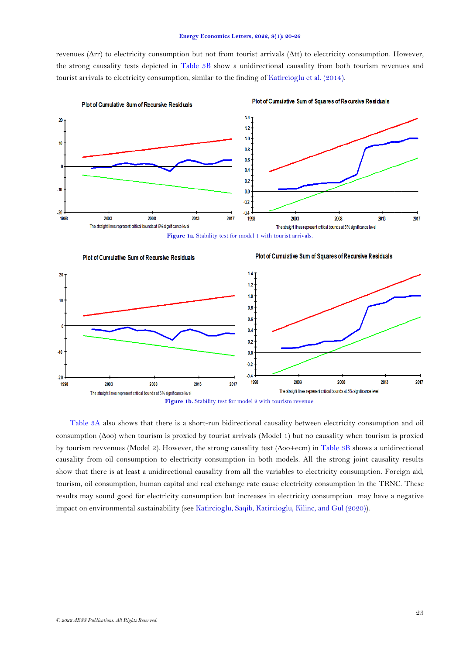revenues ( $\Delta \text{rr}$ ) to electricity consumption but not from tourist arrivals ( $\Delta \text{tt}$ ) to electricity consumption. However, the strong causality tests depicted in [Table 3B](#page-4-1) show a unidirectional causality from both tourism revenues and tourist arrivals to electricity consumption, similar to the finding of [Katircioglu et al. \(2014\)](#page-5-4).



Plot of Cumulative Sum of Squares of Recursive Residuals

Figure 1a. Stability test for model 1 with tourist arrivals.

<span id="page-3-0"></span>

<span id="page-3-1"></span>[Table 3A](#page-4-0) also shows that there is a short-run bidirectional causality between electricity consumption and oil consumption ( $\Delta$ oo) when tourism is proxied by tourist arrivals (Model 1) but no causality when tourism is proxied by tourism revvenues (Model 2). However, the strong causality test ( $\Delta$ oo+ecm) in [Table 3B](#page-4-1) shows a unidirectional causality from oil consumption to electricity consumption in both models. All the strong joint causality results show that there is at least a unidirectional causality from all the variables to electricity consumption. Foreign aid, tourism, oil consumption, human capital and real exchange rate cause electricity consumption in the TRNC. These results may sound good for electricity consumption but increases in electricity consumption may have a negative impact on environmental sustainability (se[e Katircioglu, Saqib, Katircioglu,](#page-5-6) Kilinc, and Gul (2020)).

*© 2022 AESS Publications. All Rights Reserved.*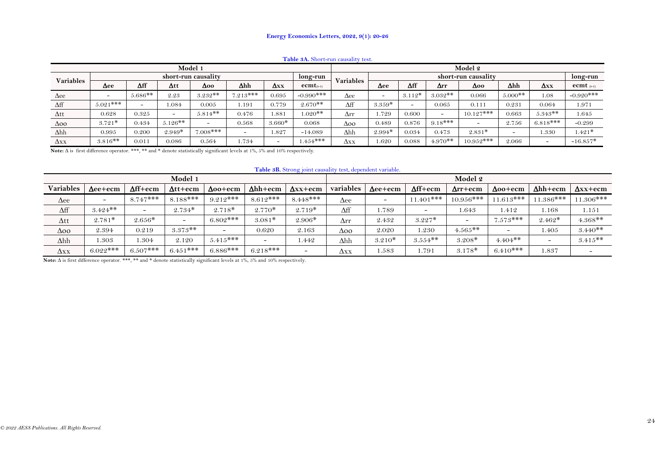#### **Energy Economics Letters, 2022, 9(1): 20-26**

| <b>l able 3A.</b> Short-run causality test. |                                 |              |                          |            |                          |                                         |                       |                  |                     |              |             |             |                          |             |                       |
|---------------------------------------------|---------------------------------|--------------|--------------------------|------------|--------------------------|-----------------------------------------|-----------------------|------------------|---------------------|--------------|-------------|-------------|--------------------------|-------------|-----------------------|
| Model 1                                     |                                 |              |                          |            |                          |                                         |                       | Model 2          |                     |              |             |             |                          |             |                       |
| Variables                                   | short-run causality<br>long-run |              |                          |            |                          |                                         |                       | <b>Variables</b> | short-run causality |              |             |             |                          |             | long-run              |
|                                             | $\Delta$ ee                     | $\Delta f f$ | $\Delta$ tt              | Δоо        | $\Delta hh$              | $\mathbf{\Delta} \mathbf{X} \mathbf{X}$ | $\text{ecmt}_{(t-1)}$ |                  | $\Delta$ ee         | $\Delta f f$ | $\Delta$ rr | $\Delta$ oo | $\Delta hh$              | $\Delta$ xx | $\mathbf{ecmt}$ (t-1) |
| $\Delta$ ee                                 | $\overline{\phantom{a}}$        | $5.686**$    | 2.23                     | $3.232**$  | $7.213***$               | 0.695                                   | $-0.990***$           | Δee              |                     | $3.112*$     | $3.032**$   | 0.066       | $5.000$ **               | 0.1         | $-0.920***$           |
| $\Delta f f$                                | $5.021***$                      | -            | 1.084                    | 0.005      | 1.191                    | 0.779                                   | $2.670**$             | $\Delta f f$     | $3.359*$            |              | 0.065       | 0.111       | 0.231                    | 0.064       | 1.971                 |
| $\Delta$ tt                                 | 0.628                           | 0.325        | $\overline{\phantom{a}}$ | $5.814**$  | 0.476                    | 1.881                                   | $1.020**$             | $\Delta$ rr      | 1.729               | 0.600        |             | $10.127***$ | 0.663                    | $5.343**$   | 1.645                 |
| $\Delta$ 00                                 | $3.721*$                        | 0.434        | $5.126**$                | -          | 0.568                    | $3.660*$                                | 0.068                 | $\Delta$ 00      | 0.489               | 0.876        | $9.18***$   |             | 2.756                    | $6.818***$  | $-0.299$              |
| $\Delta hh$                                 | 0.995                           | 0.200        | $2.949*$                 | $7.008***$ | $\overline{\phantom{0}}$ | 1.827                                   | $-14.089$             | $\Delta hh$      | $2.994*$            | 0.034        | 0.473       | $2.831*$    | $\overline{\phantom{0}}$ | 1.330       | $1.421*$              |
| $\Delta$ xx                                 | $3.816**$                       | 0.011        | 0.086                    | 0.564      | 1.734                    | -                                       | $1.454***$            | Δхх              | 1.620               | 0.088        | $4.970**$   | $10.952***$ | 2.066                    |             | $-16.857*$            |

**Table 3A.** Short-run causality test.

Note:  $\Delta$  is first difference operator. \*\*\*, \*\* and \* denote statistically significant levels at 1%, 5% and 10% respectively.

**Table 3B.** Strong joint causality test, dependent variable.

| - 82<br>Model 1      |                 |                          |                          |                          |                          |                          |              | Model 2         |                 |                          |                 |                          |                 |  |  |
|----------------------|-----------------|--------------------------|--------------------------|--------------------------|--------------------------|--------------------------|--------------|-----------------|-----------------|--------------------------|-----------------|--------------------------|-----------------|--|--|
| <b>Variables</b>     | $\Delta$ ee+ecm | $\Delta$ ff+ecm          | $\Delta t$ +ecm          | $\Delta$ oo+ecm          | $\Delta hh + \text{ecm}$ | $\Delta$ xx+ecm          | variables    | $\Delta$ ee+ecm | $\Delta$ ff+ecm | $\Delta$ rr+ecm          | $\Delta$ 00+ecm | $\Delta hh + \text{ecm}$ | $\Delta$ xx+ecm |  |  |
| $\Delta$ ee          |                 | $8.747***$               | $8.188***$               | $9.212***$               | $8.612***$               | $8.448***$               | $\Delta$ ee  |                 | $11.401$ ***    | $10.956***$              | $1.613***$      | $11.386***$              | 11.306***       |  |  |
| $\Delta \mathrm{ff}$ | $3.424**$       | $\overline{\phantom{0}}$ | $2.734*$                 | $2.718*$                 | $2.770*$                 | $2.719*$                 | $\Delta f f$ | 1.789           |                 | 1.643                    | 1.412           | 1.168                    | 1.151           |  |  |
| $\Delta$ tt          | $2.781*$        | $2.656*$                 | $\overline{\phantom{0}}$ | $6.802$ ***              | $3.081*$                 | $2.906*$                 | Δrr          | 2.432           | $3.227*$        | $\overline{\phantom{0}}$ | $7.573***$      | $2.462*$                 | $4.368**$       |  |  |
| $\Delta$ oo          | 2.394           | 0.219                    | $3.373**$                | $\overline{\phantom{0}}$ | 0.620                    | 2.163                    | Δοο          | 2.020           | 1.230           | $1.565**$                | -               | 1.405                    | $3.440**$       |  |  |
| $\Delta h h$         | 1.303           | 1.304                    | 2.120                    | $5.415***$               |                          | 1.442                    | $\Delta hh$  | $3.210*$        | $3.554**$       | $3.208*$                 | $4.404**$       | $\overline{\phantom{0}}$ | $3.415**$       |  |  |
| $\Delta$ xx          | $6.022***$      | $6.507***$               | $6.451***$               | $6.886***$               | $6.218***$               | $\overline{\phantom{0}}$ | Δхх          | 1.583           | . 791           | $3.178*$                 | $6.410***$      | 1.837                    |                 |  |  |

<span id="page-4-1"></span><span id="page-4-0"></span>Note:  $\Delta$  is first difference operator. \*\*\*, \*\* and \* denote statistically significant levels at 1%, 5% and 10% respectively.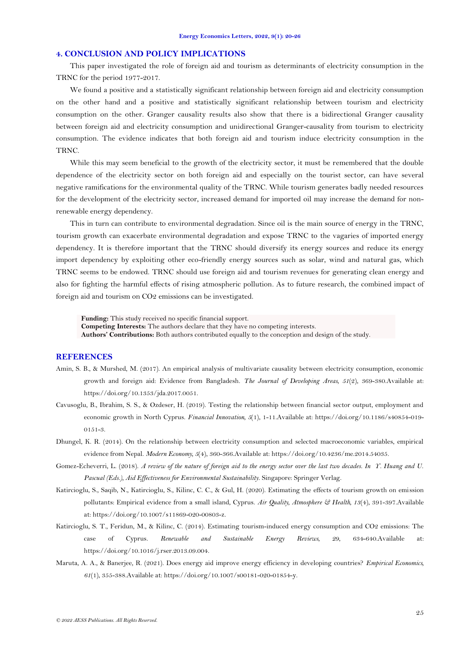### **4. CONCLUSION AND POLICY IMPLICATIONS**

This paper investigated the role of foreign aid and tourism as determinants of electricity consumption in the TRNC for the period 1977-2017.

We found a positive and a statistically significant relationship between foreign aid and electricity consumption on the other hand and a positive and statistically significant relationship between tourism and electricity consumption on the other. Granger causality results also show that there is a bidirectional Granger causality between foreign aid and electricity consumption and unidirectional Granger-causality from tourism to electricity consumption. The evidence indicates that both foreign aid and tourism induce electricity consumption in the TRNC.

While this may seem beneficial to the growth of the electricity sector, it must be remembered that the double dependence of the electricity sector on both foreign aid and especially on the tourist sector, can have several negative ramifications for the environmental quality of the TRNC. While tourism generates badly needed resources for the development of the electricity sector, increased demand for imported oil may increase the demand for nonrenewable energy dependency.

This in turn can contribute to environmental degradation. Since oil is the main source of energy in the TRNC, tourism growth can exacerbate environmental degradation and expose TRNC to the vagaries of imported energy dependency. It is therefore important that the TRNC should diversify its energy sources and reduce its energy import dependency by exploiting other eco-friendly energy sources such as solar, wind and natural gas, which TRNC seems to be endowed. TRNC should use foreign aid and tourism revenues for generating clean energy and also for fighting the harmful effects of rising atmospheric pollution. As to future research, the combined impact of foreign aid and tourism on CO2 emissions can be investigated.

**Funding:** This study received no specific financial support.

**Competing Interests:** The authors declare that they have no competing interests.

**Authors' Contributions:** Both authors contributed equally to the conception and design of the study.

#### **REFERENCES**

- <span id="page-5-2"></span>Amin, S. B., & Murshed, M. (2017). An empirical analysis of multivariate causality between electricity consumption, economic growth and foreign aid: Evidence from Bangladesh. *The Journal of Developing Areas, 51*(2), 369-380.Available at: https://doi.org/10.1353/jda.2017.0051.
- <span id="page-5-5"></span>Cavusoglu, B., Ibrahim, S. S., & Ozdeser, H. (2019). Testing the relationship between financial sector output, employment and economic growth in North Cyprus. *Financial Innovation, 5*(1), 1-11.Available at: https://doi.org/10.1186/s40854-019- 0151-3.
- <span id="page-5-1"></span>Dhungel, K. R. (2014). On the relationship between electricity consumption and selected macroeconomic variables, empirical evidence from Nepal. *Modern Economy, 5*(4), 360-366.Available at: https://doi.org/10.4236/me.2014.54035.
- <span id="page-5-0"></span>Gomez-Echeverri, L. (2018). *A review of the nature of foreign aid to the energy sector over the last two decades. In Y. Huang and U. Pascual (Eds.), Aid Effectiveness for Environmental Sustainability*. Singapore: Springer Verlag.
- <span id="page-5-6"></span>Katircioglu, S., Saqib, N., Katircioglu, S., Kilinc, C. C., & Gul, H. (2020). Estimating the effects of tourism growth on emission pollutants: Empirical evidence from a small island, Cyprus. *Air Quality, Atmosphere & Health, 13*(4), 391-397.Available at: https://doi.org/10.1007/s11869-020-00803-z.
- <span id="page-5-4"></span>Katircioglu, S. T., Feridun, M., & Kilinc, C. (2014). Estimating tourism-induced energy consumption and CO2 emissions: The case of Cyprus. *Renewable and Sustainable Energy Reviews, 29*, 634-640.Available at: https://doi.org/10.1016/j.rser.2013.09.004.
- <span id="page-5-3"></span>Maruta, A. A., & Banerjee, R. (2021). Does energy aid improve energy efficiency in developing countries? *Empirical Economics, 61*(1), 355-388.Available at: https://doi.org/10.1007/s00181-020-01854-y.